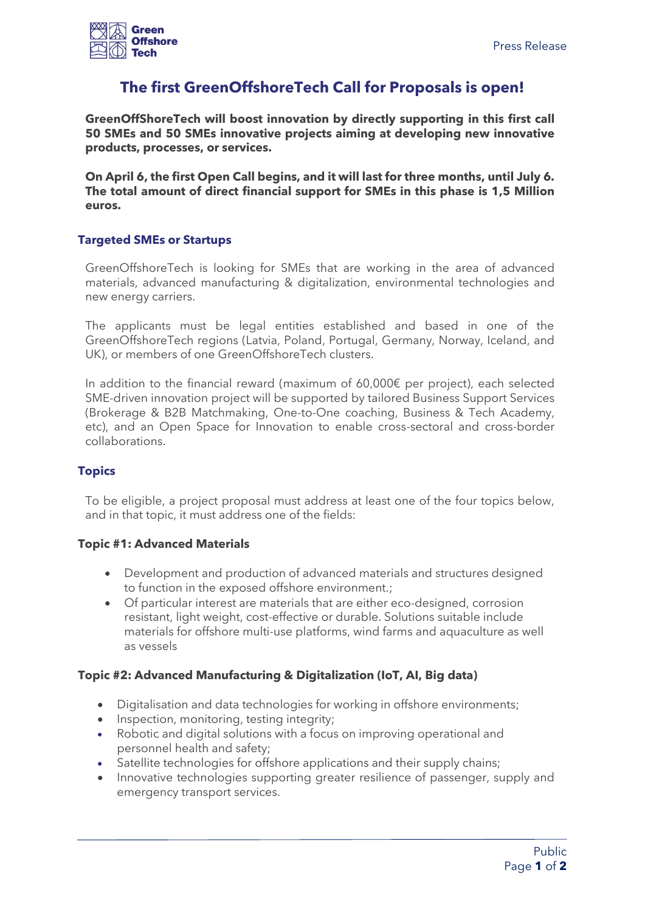

# **The first GreenOffshoreTech Call for Proposals is open!**

**GreenOffShoreTech will boost innovation by directly supporting in this first call 50 SMEs and 50 SMEs innovative projects aiming at developing new innovative products, processes, or services.**

**On April 6, the first Open Call begins, and it will last for three months, until July 6. The total amount of direct financial support for SMEs in this phase is 1,5 Million euros.**

#### **Targeted SMEs or Startups**

GreenOffshoreTech is looking for SMEs that are working in the area of advanced materials, advanced manufacturing & digitalization, environmental technologies and new energy carriers.

The applicants must be legal entities established and based in one of the GreenOffshoreTech regions (Latvia, Poland, Portugal, Germany, Norway, Iceland, and UK), or members of one GreenOffshoreTech clusters.

In addition to the financial reward (maximum of 60,000€ per project), each selected SME-driven innovation project will be supported by tailored Business Support Services (Brokerage & B2B Matchmaking, One-to-One coaching, Business & Tech Academy, etc), and an Open Space for Innovation to enable cross-sectoral and cross-border collaborations.

#### **Topics**

To be eligible, a project proposal must address at least one of the four topics below, and in that topic, it must address one of the fields:

#### **Topic #1: Advanced Materials**

- Development and production of advanced materials and structures designed to function in the exposed offshore environment.;
- Of particular interest are materials that are either eco-designed, corrosion resistant, light weight, cost-effective or durable. Solutions suitable include materials for offshore multi-use platforms, wind farms and aquaculture as well as vessels

## **Topic #2: Advanced Manufacturing & Digitalization (IoT, AI, Big data)**

- Digitalisation and data technologies for working in offshore environments;
- Inspection, monitoring, testing integrity;
- Robotic and digital solutions with a focus on improving operational and personnel health and safety;
- Satellite technologies for offshore applications and their supply chains;
- Innovative technologies supporting greater resilience of passenger, supply and emergency transport services.